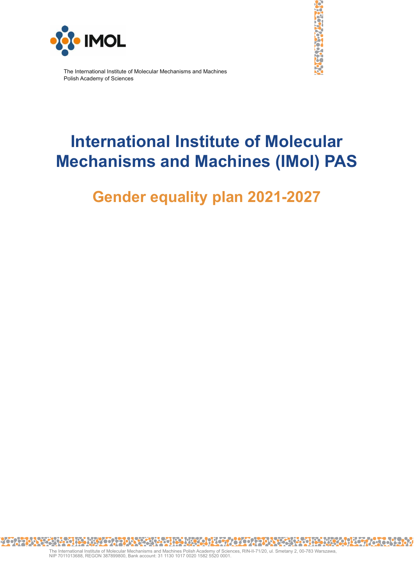



The International Institute of Molecular Mechanisms and Machines Polish Academy of Sciences

# **International Institute of Molecular Mechanisms and Machines (IMol) PAS**

## **Gender equality plan 2021-2027**

<u> JRY 45078085008918915094509457098888</u> 200 8866 **Patro**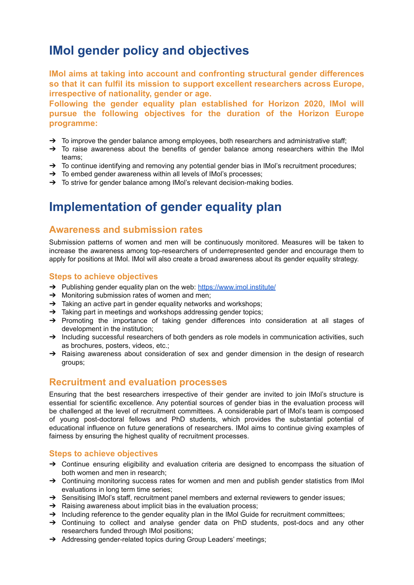## **IMol gender policy and objectives**

**IMol aims at taking into account and confronting structural gender differences so that it can fulfil its mission to support excellent researchers across Europe, irrespective of nationality, gender or age.**

**Following the gender equality plan established for Horizon 2020, IMol will pursue the following objectives for the duration of the Horizon Europe programme:**

- $\rightarrow$  To improve the gender balance among employees, both researchers and administrative staff;
- → To raise awareness about the benefits of gender balance among researchers within the IMol teams;
- $\rightarrow$  To continue identifying and removing any potential gender bias in IMol's recruitment procedures;
- $\rightarrow$  To embed gender awareness within all levels of IMol's processes;
- → To strive for gender balance among IMol's relevant decision-making bodies.

### **Implementation of gender equality plan**

#### **Awareness and submission rates**

Submission patterns of women and men will be continuously monitored. Measures will be taken to increase the awareness among top-researchers of underrepresented gender and encourage them to apply for positions at IMol. IMol will also create a broad awareness about its gender equality strategy.

#### **Steps to achieve objectives**

- → Publishing gender equality plan on the web: <https://www.imol.institute/>
- ➔ Monitoring submission rates of women and men;
- $\rightarrow$  Taking an active part in gender equality networks and workshops;
- ➔ Taking part in meetings and workshops addressing gender topics;
- → Promoting the importance of taking gender differences into consideration at all stages of development in the institution;
- → Including successful researchers of both genders as role models in communication activities, such as brochures, posters, videos, etc.;
- → Raising awareness about consideration of sex and gender dimension in the design of research groups;

#### **Recruitment and evaluation processes**

Ensuring that the best researchers irrespective of their gender are invited to join IMol's structure is essential for scientific excellence. Any potential sources of gender bias in the evaluation process will be challenged at the level of recruitment committees. A considerable part of IMol's team is composed of young post-doctoral fellows and PhD students, which provides the substantial potential of educational influence on future generations of researchers. IMol aims to continue giving examples of fairness by ensuring the highest quality of recruitment processes.

#### **Steps to achieve objectives**

- → Continue ensuring eligibility and evaluation criteria are designed to encompass the situation of both women and men in research;
- → Continuing monitoring success rates for women and men and publish gender statistics from IMol evaluations in long term time series;
- → Sensitising IMol's staff, recruitment panel members and external reviewers to gender issues;
- $\rightarrow$  Raising awareness about implicit bias in the evaluation process;
- $\rightarrow$  Including reference to the gender equality plan in the IMol Guide for recruitment committees;
- ➔ Continuing to collect and analyse gender data on PhD students, post-docs and any other researchers funded through IMol positions;
- → Addressing gender-related topics during Group Leaders' meetings;